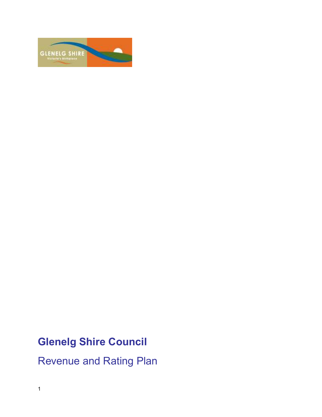

# Glenelg Shire Council

Revenue and Rating Plan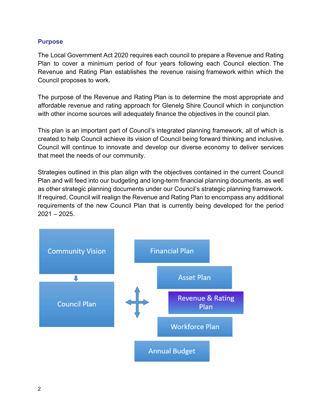## **Purpose**

The Local Government Act 2020 requires each council to prepare a Revenue and Rating Plan to cover a minimum period of four years following each Council election. The Revenue and Rating Plan establishes the revenue raising framework within which the Council proposes to work.

The purpose of the Revenue and Rating Plan is to determine the most appropriate and affordable revenue and rating approach for Glenelg Shire Council which in conjunction with other income sources will adequately finance the objectives in the council plan.

This plan is an important part of Council's integrated planning framework, all of which is created to help Council achieve its vision of Council being forward thinking and inclusive. Council will continue to innovate and develop our diverse economy to deliver services that meet the needs of our community.

Strategies outlined in this plan align with the objectives contained in the current Council Plan and will feed into our budgeting and long-term financial planning documents, as well as other strategic planning documents under our Council's strategic planning framework. If required, Council will realign the Revenue and Rating Plan to encompass any additional requirements of the new Council Plan that is currently being developed for the period  $2021 - 2025$ .

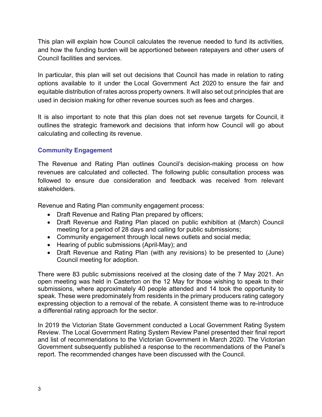This plan will explain how Council calculates the revenue needed to fund its activities, and how the funding burden will be apportioned between ratepayers and other users of Council facilities and services.

In particular, this plan will set out decisions that Council has made in relation to rating options available to it under the Local Government Act 2020 to ensure the fair and equitable distribution of rates across property owners. It will also set out principles that are used in decision making for other revenue sources such as fees and charges.

It is also important to note that this plan does not set revenue targets for Council, it outlines the strategic framework and decisions that inform how Council will go about calculating and collecting its revenue.

# Community Engagement

The Revenue and Rating Plan outlines Council's decision-making process on how revenues are calculated and collected. The following public consultation process was followed to ensure due consideration and feedback was received from relevant stakeholders.

Revenue and Rating Plan community engagement process:

- Draft Revenue and Rating Plan prepared by officers;
- Draft Revenue and Rating Plan placed on public exhibition at (March) Council meeting for a period of 28 days and calling for public submissions;
- Community engagement through local news outlets and social media;
- Hearing of public submissions (April-May); and
- Draft Revenue and Rating Plan (with any revisions) to be presented to (June) Council meeting for adoption.

There were 83 public submissions received at the closing date of the 7 May 2021. An open meeting was held in Casterton on the 12 May for those wishing to speak to their submissions, where approximately 40 people attended and 14 took the opportunity to speak. These were predominately from residents in the primary producers rating category expressing objection to a removal of the rebate. A consistent theme was to re-introduce a differential rating approach for the sector.

In 2019 the Victorian State Government conducted a Local Government Rating System Review. The Local Government Rating System Review Panel presented their final report and list of recommendations to the Victorian Government in March 2020. The Victorian Government subsequently published a response to the recommendations of the Panel's report. The recommended changes have been discussed with the Council.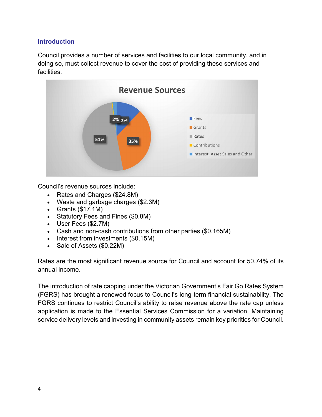# Introduction

Council provides a number of services and facilities to our local community, and in doing so, must collect revenue to cover the cost of providing these services and facilities.



Council's revenue sources include:

- Rates and Charges (\$24.8M)
- Waste and garbage charges (\$2.3M)
- Grants  $($17.1M)$
- Statutory Fees and Fines (\$0.8M)
- User Fees (\$2.7M)
- Cash and non-cash contributions from other parties (\$0.165M)
- Interest from investments (\$0.15M)
- Sale of Assets (\$0.22M)

Rates are the most significant revenue source for Council and account for 50.74% of its annual income.

The introduction of rate capping under the Victorian Government's Fair Go Rates System (FGRS) has brought a renewed focus to Council's long-term financial sustainability. The FGRS continues to restrict Council's ability to raise revenue above the rate cap unless application is made to the Essential Services Commission for a variation. Maintaining service delivery levels and investing in community assets remain key priorities for Council.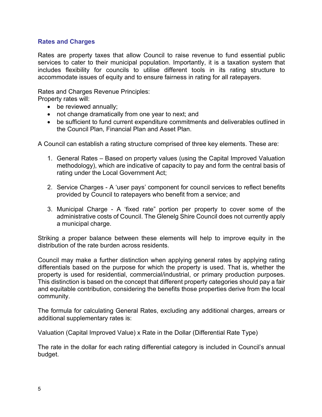## Rates and Charges

Rates are property taxes that allow Council to raise revenue to fund essential public services to cater to their municipal population. Importantly, it is a taxation system that includes flexibility for councils to utilise different tools in its rating structure to accommodate issues of equity and to ensure fairness in rating for all ratepayers.

Rates and Charges Revenue Principles:

Property rates will:

- be reviewed annually;
- not change dramatically from one year to next; and
- be sufficient to fund current expenditure commitments and deliverables outlined in the Council Plan, Financial Plan and Asset Plan.

A Council can establish a rating structure comprised of three key elements. These are:

- 1. General Rates Based on property values (using the Capital Improved Valuation methodology), which are indicative of capacity to pay and form the central basis of rating under the Local Government Act;
- 2. Service Charges A 'user pays' component for council services to reflect benefits provided by Council to ratepayers who benefit from a service; and
- 3. Municipal Charge A 'fixed rate" portion per property to cover some of the administrative costs of Council. The Glenelg Shire Council does not currently apply a municipal charge.

Striking a proper balance between these elements will help to improve equity in the distribution of the rate burden across residents.

Council may make a further distinction when applying general rates by applying rating differentials based on the purpose for which the property is used. That is, whether the property is used for residential, commercial/industrial, or primary production purposes. This distinction is based on the concept that different property categories should pay a fair and equitable contribution, considering the benefits those properties derive from the local community.

The formula for calculating General Rates, excluding any additional charges, arrears or additional supplementary rates is:

Valuation (Capital Improved Value) x Rate in the Dollar (Differential Rate Type)

The rate in the dollar for each rating differential category is included in Council's annual budget.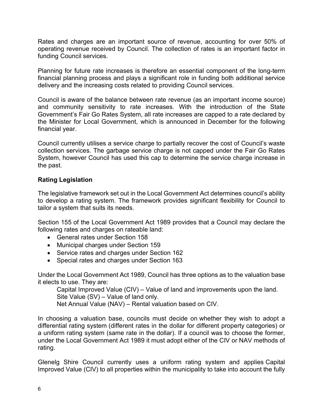Rates and charges are an important source of revenue, accounting for over 50% of operating revenue received by Council. The collection of rates is an important factor in funding Council services.

Planning for future rate increases is therefore an essential component of the long-term financial planning process and plays a significant role in funding both additional service delivery and the increasing costs related to providing Council services.

Council is aware of the balance between rate revenue (as an important income source) and community sensitivity to rate increases. With the introduction of the State Government's Fair Go Rates System, all rate increases are capped to a rate declared by the Minister for Local Government, which is announced in December for the following financial year.

Council currently utilises a service charge to partially recover the cost of Council's waste collection services. The garbage service charge is not capped under the Fair Go Rates System, however Council has used this cap to determine the service charge increase in the past.

# Rating Legislation

The legislative framework set out in the Local Government Act determines council's ability to develop a rating system. The framework provides significant flexibility for Council to tailor a system that suits its needs.

Section 155 of the Local Government Act 1989 provides that a Council may declare the following rates and charges on rateable land:

- General rates under Section 158
- Municipal charges under Section 159
- Service rates and charges under Section 162
- Special rates and charges under Section 163

Under the Local Government Act 1989, Council has three options as to the valuation base it elects to use. They are:

Capital Improved Value (CIV) – Value of land and improvements upon the land. Site Value (SV) – Value of land only.

Net Annual Value (NAV) – Rental valuation based on CIV.

In choosing a valuation base, councils must decide on whether they wish to adopt a differential rating system (different rates in the dollar for different property categories) or a uniform rating system (same rate in the dollar). If a council was to choose the former, under the Local Government Act 1989 it must adopt either of the CIV or NAV methods of rating.

Glenelg Shire Council currently uses a uniform rating system and applies Capital Improved Value (CIV) to all properties within the municipality to take into account the fully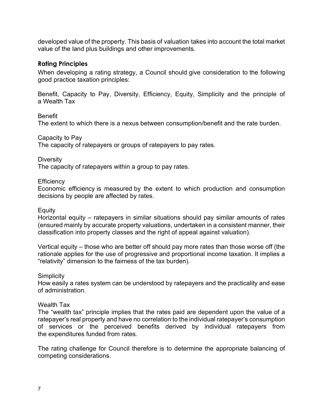developed value of the property. This basis of valuation takes into account the total market value of the land plus buildings and other improvements.

## Rating Principles

When developing a rating strategy, a Council should give consideration to the following good practice taxation principles:

Benefit, Capacity to Pay, Diversity, Efficiency, Equity, Simplicity and the principle of a Wealth Tax

## Benefit

The extent to which there is a nexus between consumption/benefit and the rate burden.

Capacity to Pay

The capacity of ratepayers or groups of ratepayers to pay rates.

Diversity

The capacity of ratepayers within a group to pay rates.

## **Efficiency**

Economic efficiency is measured by the extent to which production and consumption decisions by people are affected by rates.

## **Equity**

Horizontal equity – ratepayers in similar situations should pay similar amounts of rates (ensured mainly by accurate property valuations, undertaken in a consistent manner, their classification into property classes and the right of appeal against valuation).

Vertical equity – those who are better off should pay more rates than those worse off (the rationale applies for the use of progressive and proportional income taxation. It implies a "relativity" dimension to the fairness of the tax burden).

**Simplicity** 

How easily a rates system can be understood by ratepayers and the practicality and ease of administration.

## Wealth Tax

The "wealth tax" principle implies that the rates paid are dependent upon the value of a ratepayer's real property and have no correlation to the individual ratepayer's consumption of services or the perceived benefits derived by individual ratepayers from the expenditures funded from rates.

The rating challenge for Council therefore is to determine the appropriate balancing of competing considerations.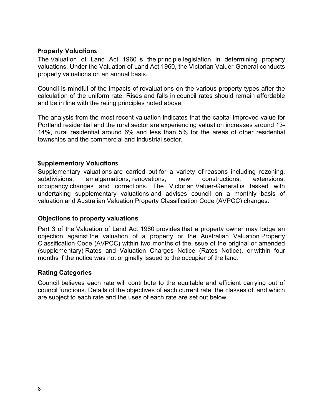# Property Valuations

The Valuation of Land Act 1960 is the principle legislation in determining property valuations. Under the Valuation of Land Act 1960, the Victorian Valuer-General conducts property valuations on an annual basis.

Council is mindful of the impacts of revaluations on the various property types after the calculation of the uniform rate. Rises and falls in council rates should remain affordable and be in line with the rating principles noted above.

The analysis from the most recent valuation indicates that the capital improved value for Portland residential and the rural sector are experiencing valuation increases around 13- 14%, rural residential around 6% and less than 5% for the areas of other residential townships and the commercial and industrial sector.

# Supplementary Valuations

Supplementary valuations are carried out for a variety of reasons including rezoning, subdivisions, amalgamations, renovations, new constructions, extensions, occupancy changes and corrections. The Victorian Valuer-General is tasked with undertaking supplementary valuations and advises council on a monthly basis of valuation and Australian Valuation Property Classification Code (AVPCC) changes.

## Objections to property valuations

Part 3 of the Valuation of Land Act 1960 provides that a property owner may lodge an objection against the valuation of a property or the Australian Valuation Property Classification Code (AVPCC) within two months of the issue of the original or amended (supplementary) Rates and Valuation Charges Notice (Rates Notice), or within four months if the notice was not originally issued to the occupier of the land.

## Rating Categories

Council believes each rate will contribute to the equitable and efficient carrying out of council functions. Details of the objectives of each current rate, the classes of land which are subject to each rate and the uses of each rate are set out below.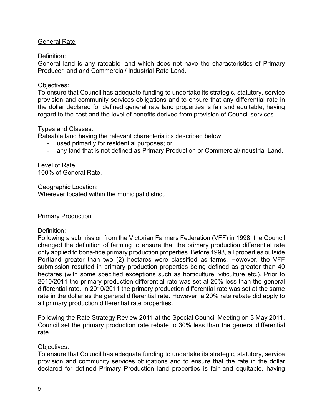## General Rate

Definition:

General land is any rateable land which does not have the characteristics of Primary Producer land and Commercial/ Industrial Rate Land.

## Objectives:

To ensure that Council has adequate funding to undertake its strategic, statutory, service provision and community services obligations and to ensure that any differential rate in the dollar declared for defined general rate land properties is fair and equitable, having regard to the cost and the level of benefits derived from provision of Council services.

# Types and Classes:

Rateable land having the relevant characteristics described below:

- used primarily for residential purposes; or
- any land that is not defined as Primary Production or Commercial/Industrial Land.

Level of Rate: 100% of General Rate.

Geographic Location: Wherever located within the municipal district.

## Primary Production

Definition:

Following a submission from the Victorian Farmers Federation (VFF) in 1998, the Council changed the definition of farming to ensure that the primary production differential rate only applied to bona-fide primary production properties. Before 1998, all properties outside Portland greater than two (2) hectares were classified as farms. However, the VFF submission resulted in primary production properties being defined as greater than 40 hectares (with some specified exceptions such as horticulture, viticulture etc.). Prior to 2010/2011 the primary production differential rate was set at 20% less than the general differential rate. In 2010/2011 the primary production differential rate was set at the same rate in the dollar as the general differential rate. However, a 20% rate rebate did apply to all primary production differential rate properties.

Following the Rate Strategy Review 2011 at the Special Council Meeting on 3 May 2011, Council set the primary production rate rebate to 30% less than the general differential rate.

## Objectives:

To ensure that Council has adequate funding to undertake its strategic, statutory, service provision and community services obligations and to ensure that the rate in the dollar declared for defined Primary Production land properties is fair and equitable, having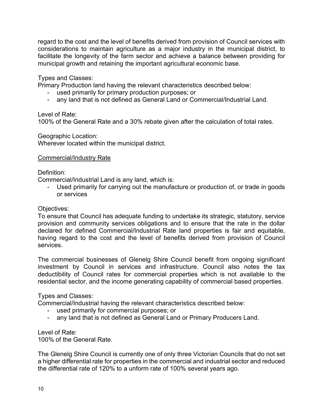regard to the cost and the level of benefits derived from provision of Council services with considerations to maintain agriculture as a major industry in the municipal district, to facilitate the longevity of the farm sector and achieve a balance between providing for municipal growth and retaining the important agricultural economic base.

Types and Classes:

Primary Production land having the relevant characteristics described below:

- used primarily for primary production purposes; or
- any land that is not defined as General Land or Commercial/Industrial Land.

Level of Rate:

100% of the General Rate and a 30% rebate given after the calculation of total rates.

Geographic Location:

Wherever located within the municipal district.

## Commercial/Industry Rate

Definition:

Commercial/Industrial Land is any land, which is:

- Used primarily for carrying out the manufacture or production of, or trade in goods or services

## Objectives:

To ensure that Council has adequate funding to undertake its strategic, statutory, service provision and community services obligations and to ensure that the rate in the dollar declared for defined Commercial/Industrial Rate land properties is fair and equitable, having regard to the cost and the level of benefits derived from provision of Council services.

The commercial businesses of Glenelg Shire Council benefit from ongoing significant investment by Council in services and infrastructure. Council also notes the tax deductibility of Council rates for commercial properties which is not available to the residential sector, and the income generating capability of commercial based properties.

## Types and Classes:

Commercial/Industrial having the relevant characteristics described below:

- used primarily for commercial purposes; or
- any land that is not defined as General Land or Primary Producers Land.

Level of Rate:

100% of the General Rate.

The Glenelg Shire Council is currently one of only three Victorian Councils that do not set a higher differential rate for properties in the commercial and industrial sector and reduced the differential rate of 120% to a unform rate of 100% several years ago.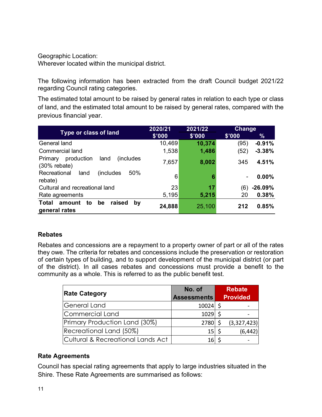| Geographic Location:<br>Wherever located within the municipal district.                                                                                                                                            |                  |                  |                |                           |
|--------------------------------------------------------------------------------------------------------------------------------------------------------------------------------------------------------------------|------------------|------------------|----------------|---------------------------|
| The following information has been extracted from the draft Council budget 2021/22<br>regarding Council rating categories.                                                                                         |                  |                  |                |                           |
|                                                                                                                                                                                                                    |                  |                  |                |                           |
|                                                                                                                                                                                                                    |                  |                  |                |                           |
| The estimated total amount to be raised by general rates in relation to each type or class<br>of land, and the estimated total amount to be raised by general rates, compared with the<br>previous financial year. |                  |                  |                |                           |
| Type or class of land                                                                                                                                                                                              | 2020/21          | 2021/22          | <b>Change</b>  |                           |
| <b>General land</b>                                                                                                                                                                                                | \$'000<br>10,469 | \$'000<br>10,374 | \$'000<br>(95) | $\frac{9}{6}$<br>$-0.91%$ |
| <b>Commercial land</b>                                                                                                                                                                                             | 1,538            | 1,486            | (52)           | $-3.38%$                  |
| Primary production<br>land<br>(includes)                                                                                                                                                                           | 7,657            | 8,002            | 345            | 4.51%                     |
| $(30%$ rebate)<br>Recreational<br>50%<br>land<br>(includes)                                                                                                                                                        | 6                | 6                |                | 0.00%                     |
| rebate)<br>Cultural and recreational land                                                                                                                                                                          | 23               | 17               | (6)            | $-26.09%$                 |
| Rate agreements<br>Total amount to<br>be raised<br>by                                                                                                                                                              | 5,195            | 5,215            | 20             | 0.38%                     |

# Rebates

Rebates and concessions are a repayment to a property owner of part or all of the rates they owe. The criteria for rebates and concessions include the preservation or restoration of certain types of building, and to support development of the municipal district (or part of the district). In all cases rebates and concessions must provide a benefit to the community as a whole. This is referred to as the public benefit test.

| <b>Rate Category</b>                         | No. of<br><b>Assessments</b> | <b>Rebate</b><br><b>Provided</b> |
|----------------------------------------------|------------------------------|----------------------------------|
| <b>General Land</b>                          | $10024$ \$                   |                                  |
| <b>Commercial Land</b>                       | 1029                         |                                  |
| Primary Production Land (30%)                | 2780                         | (3,327,423)                      |
| Recreational Land (50%)                      | 15                           | (6, 442)                         |
| <b>Cultural &amp; Recreational Lands Act</b> | 16                           |                                  |

# Rate Agreements

Council has special rating agreements that apply to large industries situated in the Shire. These Rate Agreements are summarised as follows: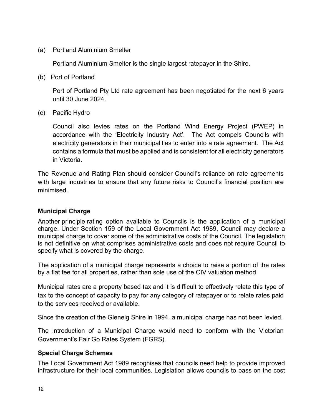(a) Portland Aluminium Smelter

Portland Aluminium Smelter is the single largest ratepayer in the Shire.

(b) Port of Portland

Port of Portland Pty Ltd rate agreement has been negotiated for the next 6 years until 30 June 2024.

(c) Pacific Hydro

Council also levies rates on the Portland Wind Energy Project (PWEP) in accordance with the 'Electricity Industry Act'. The Act compels Councils with electricity generators in their municipalities to enter into a rate agreement. The Act contains a formula that must be applied and is consistent for all electricity generators in Victoria.

The Revenue and Rating Plan should consider Council's reliance on rate agreements with large industries to ensure that any future risks to Council's financial position are minimised.

# Municipal Charge

Another principle rating option available to Councils is the application of a municipal charge. Under Section 159 of the Local Government Act 1989, Council may declare a municipal charge to cover some of the administrative costs of the Council. The legislation is not definitive on what comprises administrative costs and does not require Council to specify what is covered by the charge.

The application of a municipal charge represents a choice to raise a portion of the rates by a flat fee for all properties, rather than sole use of the CIV valuation method.

Municipal rates are a property based tax and it is difficult to effectively relate this type of tax to the concept of capacity to pay for any category of ratepayer or to relate rates paid to the services received or available.

Since the creation of the Glenelg Shire in 1994, a municipal charge has not been levied.

The introduction of a Municipal Charge would need to conform with the Victorian Government's Fair Go Rates System (FGRS).

# Special Charge Schemes

The Local Government Act 1989 recognises that councils need help to provide improved infrastructure for their local communities. Legislation allows councils to pass on the cost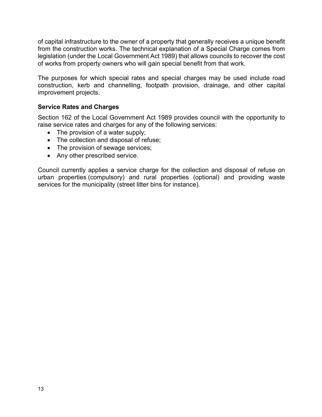of capital infrastructure to the owner of a property that generally receives a unique benefit from the construction works. The technical explanation of a Special Charge comes from legislation (under the Local Government Act 1989) that allows councils to recover the cost of works from property owners who will gain special benefit from that work.

The purposes for which special rates and special charges may be used include road construction, kerb and channelling, footpath provision, drainage, and other capital improvement projects.

# Service Rates and Charges

Section 162 of the Local Government Act 1989 provides council with the opportunity to raise service rates and charges for any of the following services:

- The provision of a water supply;
- The collection and disposal of refuse;
- The provision of sewage services;
- Any other prescribed service.

Council currently applies a service charge for the collection and disposal of refuse on urban properties (compulsory) and rural properties (optional) and providing waste services for the municipality (street litter bins for instance).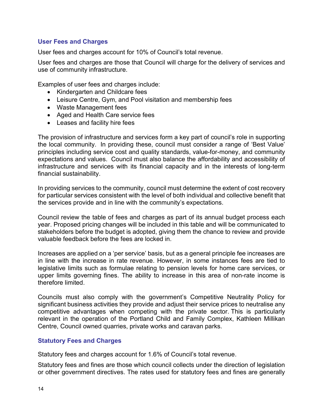# User Fees and Charges

User fees and charges account for 10% of Council's total revenue.

User fees and charges are those that Council will charge for the delivery of services and use of community infrastructure.

Examples of user fees and charges include:

- Kindergarten and Childcare fees
- Leisure Centre, Gym, and Pool visitation and membership fees
- Waste Management fees
- Aged and Health Care service fees
- Leases and facility hire fees

The provision of infrastructure and services form a key part of council's role in supporting the local community. In providing these, council must consider a range of 'Best Value' principles including service cost and quality standards, value-for-money, and community expectations and values. Council must also balance the affordability and accessibility of infrastructure and services with its financial capacity and in the interests of long-term financial sustainability.

In providing services to the community, council must determine the extent of cost recovery for particular services consistent with the level of both individual and collective benefit that the services provide and in line with the community's expectations.

Council review the table of fees and charges as part of its annual budget process each year. Proposed pricing changes will be included in this table and will be communicated to stakeholders before the budget is adopted, giving them the chance to review and provide valuable feedback before the fees are locked in.

Increases are applied on a 'per service' basis, but as a general principle fee increases are in line with the increase in rate revenue. However, in some instances fees are tied to legislative limits such as formulae relating to pension levels for home care services, or upper limits governing fines. The ability to increase in this area of non-rate income is therefore limited.

Councils must also comply with the government's Competitive Neutrality Policy for significant business activities they provide and adjust their service prices to neutralise any competitive advantages when competing with the private sector. This is particularly relevant in the operation of the Portland Child and Family Complex, Kathleen Millikan Centre, Council owned quarries, private works and caravan parks.

## Statutory Fees and Charges

Statutory fees and charges account for 1.6% of Council's total revenue.

Statutory fees and fines are those which council collects under the direction of legislation or other government directives. The rates used for statutory fees and fines are generally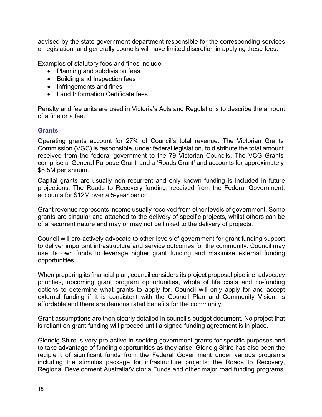advised by the state government department responsible for the corresponding services or legislation, and generally councils will have limited discretion in applying these fees.

Examples of statutory fees and fines include:

- Planning and subdivision fees
- Building and Inspection fees
- Infringements and fines
- Land Information Certificate fees

Penalty and fee units are used in Victoria's Acts and Regulations to describe the amount of a fine or a fee.

## **Grants**

Operating grants account for 27% of Council's total revenue. The Victorian Grants Commission (VGC) is responsible, under federal legislation, to distribute the total amount received from the federal government to the 79 Victorian Councils. The VCG Grants comprise a 'General Purpose Grant' and a 'Roads Grant' and accounts for approximately \$8.5M per annum.

Capital grants are usually non recurrent and only known funding is included in future projections. The Roads to Recovery funding, received from the Federal Government, accounts for \$12M over a 5-year period.

Grant revenue represents income usually received from other levels of government. Some grants are singular and attached to the delivery of specific projects, whilst others can be of a recurrent nature and may or may not be linked to the delivery of projects.

Council will pro-actively advocate to other levels of government for grant funding support to deliver important infrastructure and service outcomes for the community. Council may use its own funds to leverage higher grant funding and maximise external funding opportunities.

When preparing its financial plan, council considers its project proposal pipeline, advocacy priorities, upcoming grant program opportunities, whole of life costs and co-funding options to determine what grants to apply for. Council will only apply for and accept external funding if it is consistent with the Council Plan and Community Vision, is affordable and there are demonstrated benefits for the community

Grant assumptions are then clearly detailed in council's budget document. No project that is reliant on grant funding will proceed until a signed funding agreement is in place.

Glenelg Shire is very pro-active in seeking government grants for specific purposes and to take advantage of funding opportunities as they arise. Glenelg Shire has also been the recipient of significant funds from the Federal Government under various programs including the stimulus package for infrastructure projects; the Roads to Recovery, Regional Development Australia/Victoria Funds and other major road funding programs.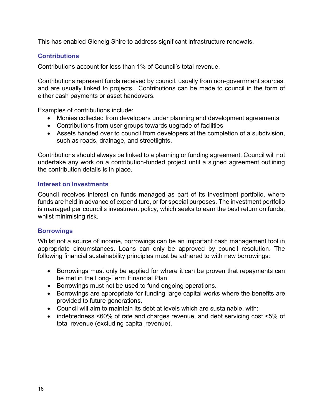This has enabled Glenelg Shire to address significant infrastructure renewals.

# **Contributions**

Contributions account for less than 1% of Council's total revenue.

Contributions represent funds received by council, usually from non-government sources, and are usually linked to projects. Contributions can be made to council in the form of either cash payments or asset handovers.

Examples of contributions include:

- Monies collected from developers under planning and development agreements
- Contributions from user groups towards upgrade of facilities
- Assets handed over to council from developers at the completion of a subdivision, such as roads, drainage, and streetlights.

Contributions should always be linked to a planning or funding agreement. Council will not undertake any work on a contribution-funded project until a signed agreement outlining the contribution details is in place.

# Interest on Investments

Council receives interest on funds managed as part of its investment portfolio, where funds are held in advance of expenditure, or for special purposes. The investment portfolio is managed per council's investment policy, which seeks to earn the best return on funds, whilst minimising risk.

# **Borrowings**

Whilst not a source of income, borrowings can be an important cash management tool in appropriate circumstances. Loans can only be approved by council resolution. The following financial sustainability principles must be adhered to with new borrowings:

- Borrowings must only be applied for where it can be proven that repayments can be met in the Long-Term Financial Plan
- Borrowings must not be used to fund ongoing operations.
- Borrowings are appropriate for funding large capital works where the benefits are provided to future generations.
- Council will aim to maintain its debt at levels which are sustainable, with:
- indebtedness <60% of rate and charges revenue, and debt servicing cost <5% of total revenue (excluding capital revenue).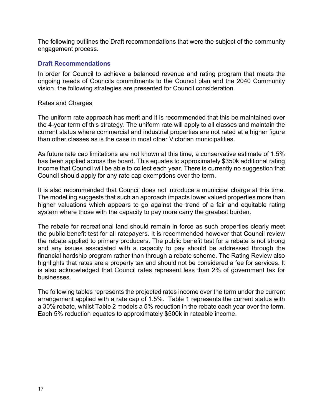The following outlines the Draft recommendations that were the subject of the community engagement process.

## Draft Recommendations

In order for Council to achieve a balanced revenue and rating program that meets the ongoing needs of Councils commitments to the Council plan and the 2040 Community vision, the following strategies are presented for Council consideration.

#### Rates and Charges

The uniform rate approach has merit and it is recommended that this be maintained over the 4-year term of this strategy. The uniform rate will apply to all classes and maintain the current status where commercial and industrial properties are not rated at a higher figure than other classes as is the case in most other Victorian municipalities.

As future rate cap limitations are not known at this time, a conservative estimate of 1.5% has been applied across the board. This equates to approximately \$350k additional rating income that Council will be able to collect each year. There is currently no suggestion that Council should apply for any rate cap exemptions over the term.

It is also recommended that Council does not introduce a municipal charge at this time. The modelling suggests that such an approach impacts lower valued properties more than higher valuations which appears to go against the trend of a fair and equitable rating system where those with the capacity to pay more carry the greatest burden.

The rebate for recreational land should remain in force as such properties clearly meet the public benefit test for all ratepayers. It is recommended however that Council review the rebate applied to primary producers. The public benefit test for a rebate is not strong and any issues associated with a capacity to pay should be addressed through the financial hardship program rather than through a rebate scheme. The Rating Review also highlights that rates are a property tax and should not be considered a fee for services. It is also acknowledged that Council rates represent less than 2% of government tax for businesses.

The following tables represents the projected rates income over the term under the current arrangement applied with a rate cap of 1.5%. Table 1 represents the current status with a 30% rebate, whilst Table 2 models a 5% reduction in the rebate each year over the term. Each 5% reduction equates to approximately \$500k in rateable income.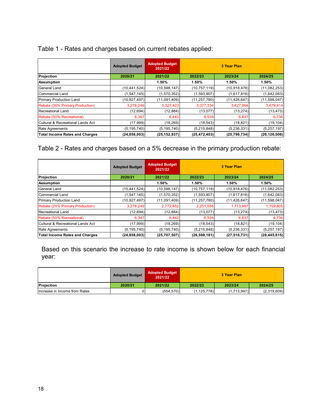|  | Table 1 - Rates and charges based on current rebates applied: |  |  |
|--|---------------------------------------------------------------|--|--|
|  |                                                               |  |  |

|                                       | <b>Adopted Budget</b> | <b>Adopted Budget</b><br>2021/22 |                | 3 Year Plan    |                |
|---------------------------------------|-----------------------|----------------------------------|----------------|----------------|----------------|
| Projection                            | 2020/21               | 2021/22                          | 2022/23        | 2023/24        | 2024/25        |
| <b>Assumption</b>                     |                       | 1.50%                            | 1.50%          | 1.50%          | 1.50%          |
| <b>General Land</b>                   | (10, 441, 524)        | (10, 598, 147)                   | (10, 757, 119) | (10, 918, 476) | (11,082,253)   |
| Commercial Land                       | (1, 547, 145)         | (1,570,352)                      | (1,593,907)    | (1,617,816)    | (1,642,083)    |
| <b>Primary Production Land</b>        | (10, 927, 497)        | (11,091,409)                     | (11, 257, 780) | (11, 426, 647) | (11,598,047)   |
| Rebate (30% Primary Production)       | 3,278,249             | 3,327,423                        | 3,377,334      | 3,427,994      | 3,479,414      |
| Recreational Land                     | (12, 694)             | (12, 884)                        | (13, 077)      | (13, 274)      | (13, 473)      |
| Rebate (50% Recreational)             | 6,347                 | 6,442                            | 6,539          | 6,637          | 6,736          |
| Cultural & Recreational Lands Act     | (17,999)              | (18, 269)                        | (18, 543)      | (18, 821)      | (19, 104)      |
| Rate Agreements                       | (5, 195, 740)         | (5, 195, 740)                    | (5,215,848)    | (5, 236, 331)  | (5, 257, 197)  |
| <b>Total Income Rates and Charges</b> | (24, 858, 003)        | (25, 152, 937)                   | (25, 472, 403) | (25, 796, 734) | (26, 126, 006) |

# Table 2 - Rates and charges based on a 5% decrease in the primary production rebate:

|                                       | <b>Adopted Budget</b> | <b>Adopted Budget</b><br>2021/22 | 3 Year Plan    |                |                |
|---------------------------------------|-----------------------|----------------------------------|----------------|----------------|----------------|
| Projection                            | 2020/21               | 2021/22                          | 2022/23        | 2023/24        | 2024/25        |
| Assumption                            |                       | 1.50%                            | 1.50%          | 1.50%          | 1.50%          |
| General Land                          | (10, 441, 524)        | (10,598,147)                     | (10, 757, 119) | (10,918,476)   | (11,082,253)   |
| Commercial Land                       | (1,547,145)           | (1,570,352)                      | (1,593,907)    | (1,617,816)    | (1,642,083)    |
| <b>Primary Production Land</b>        | (10.927.497)          | (11,091,409)                     | (11, 257, 780) | (11, 426, 647) | (11,598,047)   |
| Rebate (25% Primary Production)       | 3,278,249             | 2,772,852                        | 2,251,556      | 1,713,997      | 1,159,805      |
| Recreational Land                     | (12, 694)             | (12, 884)                        | (13,077)       | (13, 274)      | (13, 473)      |
| Rebate (50% Recreational)             | 6,347                 | 6,442                            | 6,539          | 6,637          | 6,736          |
| Cultural & Recreational Lands Act     | (17,999)              | (18, 269)                        | (18, 543)      | (18, 821)      | (19, 104)      |
| Rate Agreements                       | (5, 195, 740)         | (5, 195, 740)                    | (5,215,848)    | (5,236,331)    | (5,257,197)    |
| <b>Total Income Rates and Charges</b> | (24, 858, 003)        | (25,707,507)                     | (26, 598, 181) | (27, 510, 731) | (28, 445, 615) |

Based on this scenario the increase to rate income is shown below for each financial year:

|                               | <b>Adopted Budget</b> | <b>Adopted Budget</b><br>2021/22 | 3 Year Plan   |             |             |
|-------------------------------|-----------------------|----------------------------------|---------------|-------------|-------------|
| Projection                    | 2020/21               | 2021/22                          | 2022/23       | 2023/24     | 2024/25     |
| Increase in Income from Rates |                       | (554, 570)                       | (1, 125, 778) | (1,713,997) | (2,319,609) |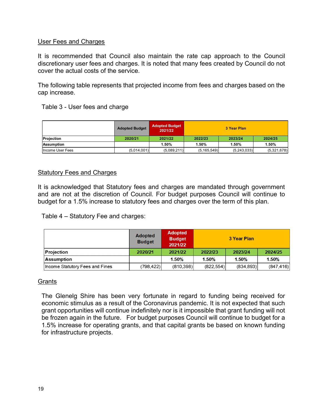## User Fees and Charges

It is recommended that Council also maintain the rate cap approach to the Council discretionary user fees and charges. It is noted that many fees created by Council do not cover the actual costs of the service.

The following table represents that projected income from fees and charges based on the cap increase.

# Table 3 - User fees and charge

|                   | <b>Adopted Budget</b> | <b>Adopted Budget</b><br>2021/22 | 3 Year Plan   |             |             |  |
|-------------------|-----------------------|----------------------------------|---------------|-------------|-------------|--|
| <b>Projection</b> | 2020/21               | 2021/22                          | 2022/23       | 2023/24     | 2024/25     |  |
| <b>Assumption</b> |                       | 1.50%                            | 1.50%         | 1.50%       | 1.50%       |  |
| Income User Fees  | (5,014,001)           | (5,089,211)                      | (5, 165, 549) | (5,243,033) | (5,321,678) |  |

## Statutory Fees and Charges

It is acknowledged that Statutory fees and charges are mandated through government and are not at the discretion of Council. For budget purposes Council will continue to budget for a 1.5% increase to statutory fees and charges over the term of this plan.

Table 4 – Statutory Fee and charges:

|                                 | <b>Adopted</b><br><b>Budget</b> | <b>Adopted</b><br><b>Budget</b><br>2021/22 | 3 Year Plan |           |           |
|---------------------------------|---------------------------------|--------------------------------------------|-------------|-----------|-----------|
| <b>Projection</b>               | 2020/21                         | 2021/22                                    | 2022/23     | 2023/24   | 2024/25   |
| <b>Assumption</b>               |                                 | 1.50%                                      | 1.50%       | 1.50%     | 1.50%     |
| Income Statutory Fees and Fines | (798,422)                       | (810.398)                                  | (822, 554)  | (834.893) | (847.416) |

## **Grants**

The Glenelg Shire has been very fortunate in regard to funding being received for economic stimulus as a result of the Coronavirus pandemic. It is not expected that such grant opportunities will continue indefinitely nor is it impossible that grant funding will not be frozen again in the future. For budget purposes Council will continue to budget for a 1.5% increase for operating grants, and that capital grants be based on known funding for infrastructure projects.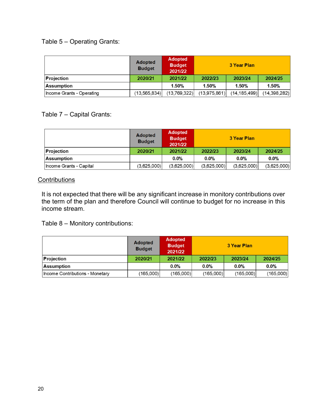# Table 5 – Operating Grants:

|                           | <b>Adopted</b><br><b>Budget</b> | <b>Adopted</b><br><b>Budget</b><br>2021/22 | 3 Year Plan  |                |              |
|---------------------------|---------------------------------|--------------------------------------------|--------------|----------------|--------------|
| Projection                | 2020/21                         | 2021/22                                    | 2022/23      | 2023/24        | 2024/25      |
| Assumption                |                                 | 1.50%                                      | 1.50%        | 1.50%          | 1.50%        |
| Income Grants - Operating | (13, 565, 834)                  | (13,769,322)                               | (13,975,861) | (14, 185, 499) | (14,398,282) |

Table 7 – Capital Grants:

|                         | <b>Adopted</b><br><b>Budget</b> | <b>Adopted</b><br><b>Budget</b><br>2021/22 | 3 Year Plan |             |             |
|-------------------------|---------------------------------|--------------------------------------------|-------------|-------------|-------------|
| Projection              | 2020/21                         | 2021/22                                    | 2022/23     | 2023/24     | 2024/25     |
| <b>Assumption</b>       |                                 | 0.0%                                       | 0.0%        | 0.0%        | 0.0%        |
| Income Grants - Capital | (3,625,000)                     | (3,625,000)                                | (3,625,000) | (3,625,000) | (3,625,000) |

## **Contributions**

It is not expected that there will be any significant increase in monitory contributions over the term of the plan and therefore Council will continue to budget for no increase in this income stream.

Table 8 – Monitory contributions:

|                                 | <b>Adopted</b><br><b>Budget</b> | <b>Adopted</b><br><b>Budget</b><br>2021/22 | 3 Year Plan          |           |           |
|---------------------------------|---------------------------------|--------------------------------------------|----------------------|-----------|-----------|
| <b>Projection</b>               | 2020/21                         | 2021/22                                    | 2022/23              | 2023/24   | 2024/25   |
| Assumption                      |                                 | 0.0%                                       | 0.0%<br>0.0%<br>0.0% |           |           |
| Income Contributions - Monetary | (165,000)                       | (165,000)                                  | (165,000)            | (165,000) | (165,000) |